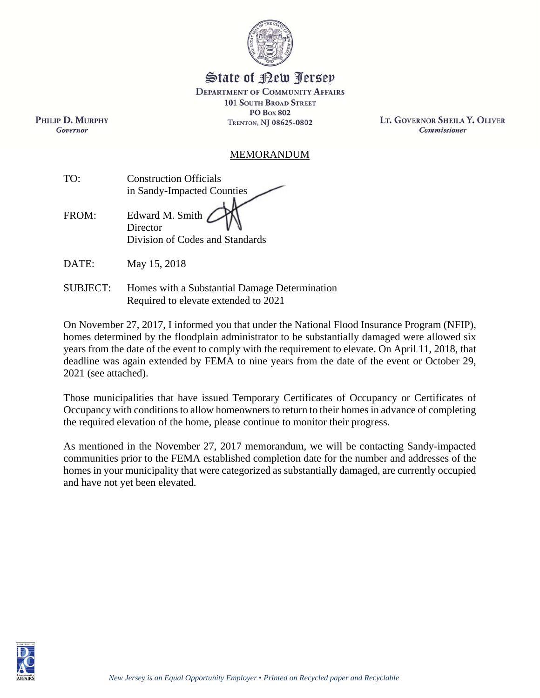

# State of Kew Persey

**DEPARTMENT OF COMMUNITY AFFAIRS 101 SOUTH BROAD STREET PO Box 802** TRENTON, NJ 08625-0802

LT. GOVERNOR SHEILA Y. OLIVER Commissioner

#### MEMORANDUM

| TO:   | <b>Construction Officials</b>                                  |  |
|-------|----------------------------------------------------------------|--|
|       | in Sandy-Impacted Counties                                     |  |
| FROM: | Edward M. Smith<br>Director<br>Division of Codes and Standards |  |

DATE: May 15, 2018

PHILIP D. MURPHY

Governor

SUBJECT: Homes with a Substantial Damage Determination Required to elevate extended to 2021

On November 27, 2017, I informed you that under the National Flood Insurance Program (NFIP), homes determined by the floodplain administrator to be substantially damaged were allowed six years from the date of the event to comply with the requirement to elevate. On April 11, 2018, that deadline was again extended by FEMA to nine years from the date of the event or October 29, 2021 (see attached).

Those municipalities that have issued Temporary Certificates of Occupancy or Certificates of Occupancy with conditions to allow homeowners to return to their homes in advance of completing the required elevation of the home, please continue to monitor their progress.

As mentioned in the November 27, 2017 memorandum, we will be contacting Sandy-impacted communities prior to the FEMA established completion date for the number and addresses of the homes in your municipality that were categorized as substantially damaged, are currently occupied and have not yet been elevated.

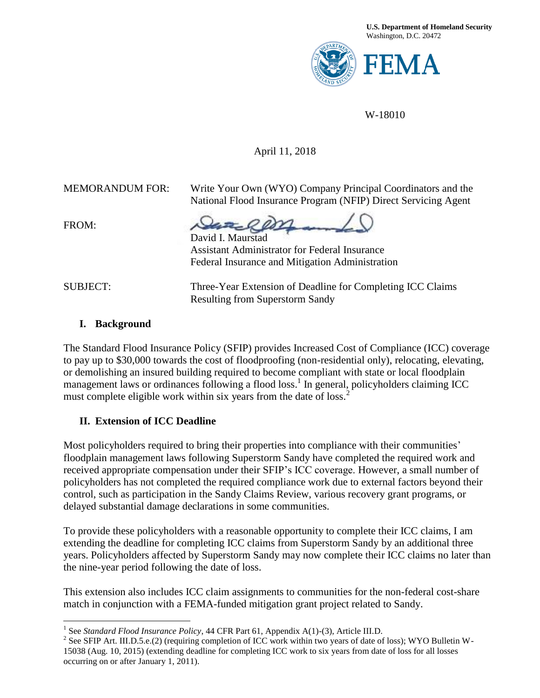

W-18010

#### April 11, 2018

MEMORANDUM FOR: Write Your Own (WYO) Company Principal Coordinators and the National Flood Insurance Program (NFIP) Direct Servicing Agent

FROM:

David I. Maurstad

Assistant Administrator for Federal Insurance Federal Insurance and Mitigation Administration

l

SUBJECT: Three-Year Extension of Deadline for Completing ICC Claims Resulting from Superstorm Sandy

#### **I. Background**

The Standard Flood Insurance Policy (SFIP) provides Increased Cost of Compliance (ICC) coverage to pay up to \$30,000 towards the cost of floodproofing (non-residential only), relocating, elevating, or demolishing an insured building required to become compliant with state or local floodplain management laws or ordinances following a flood loss.<sup>1</sup> In general, policyholders claiming ICC must complete eligible work within six years from the date of loss.<sup>2</sup>

## **II. Extension of ICC Deadline**

Most policyholders required to bring their properties into compliance with their communities' floodplain management laws following Superstorm Sandy have completed the required work and received appropriate compensation under their SFIP's ICC coverage. However, a small number of policyholders has not completed the required compliance work due to external factors beyond their control, such as participation in the Sandy Claims Review, various recovery grant programs, or delayed substantial damage declarations in some communities.

To provide these policyholders with a reasonable opportunity to complete their ICC claims, I am extending the deadline for completing ICC claims from Superstorm Sandy by an additional three years. Policyholders affected by Superstorm Sandy may now complete their ICC claims no later than the nine-year period following the date of loss.

This extension also includes ICC claim assignments to communities for the non-federal cost-share match in conjunction with a FEMA-funded mitigation grant project related to Sandy.

<sup>&</sup>lt;sup>1</sup> See *Standard Flood Insurance Policy*, 44 CFR Part 61, Appendix A(1)-(3), Article III.D.

<sup>&</sup>lt;sup>2</sup> See SFIP Art. III.D.5.e.(2) (requiring completion of ICC work within two years of date of loss); WYO Bulletin W-15038 (Aug. 10, 2015) (extending deadline for completing ICC work to six years from date of loss for all losses occurring on or after January 1, 2011).